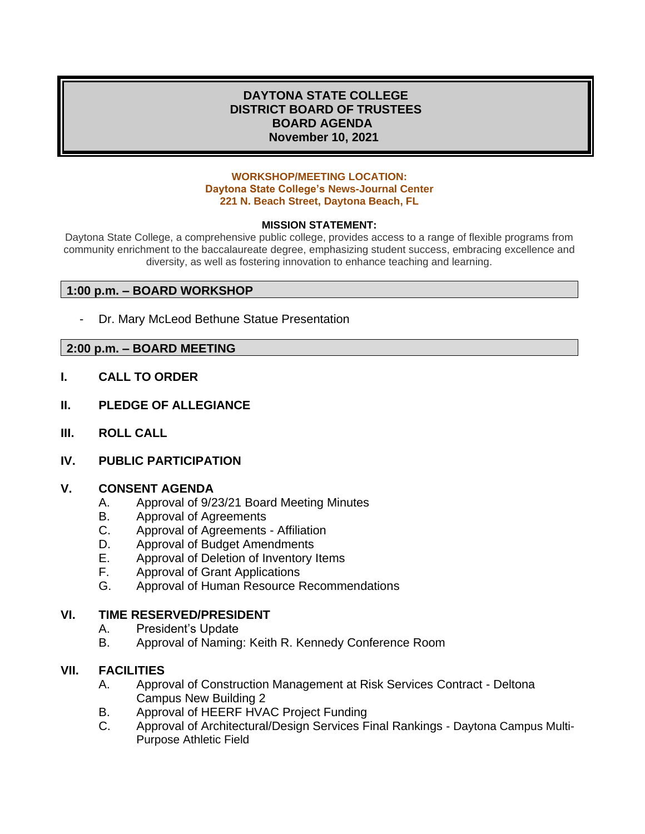## **DAYTONA STATE COLLEGE DISTRICT BOARD OF TRUSTEES BOARD AGENDA November 10, 2021**

#### **WORKSHOP/MEETING LOCATION: Daytona State College's News-Journal Center 221 N. Beach Street, Daytona Beach, FL**

#### **MISSION STATEMENT:**

Daytona State College, a comprehensive public college, provides access to a range of flexible programs from community enrichment to the baccalaureate degree, emphasizing student success, embracing excellence and diversity, as well as fostering innovation to enhance teaching and learning.

### **1:00 p.m. – BOARD WORKSHOP**

Dr. Mary McLeod Bethune Statue Presentation

#### **2:00 p.m. – BOARD MEETING**

- **I. CALL TO ORDER**
- **II. PLEDGE OF ALLEGIANCE**
- **III. ROLL CALL**
- **IV. PUBLIC PARTICIPATION**

#### **V. CONSENT AGENDA**

- A. Approval of 9/23/21 Board Meeting Minutes
- B. Approval of Agreements
- C. Approval of Agreements Affiliation
- D. Approval of Budget Amendments
- E. Approval of Deletion of Inventory Items
- F. Approval of Grant Applications
- G. Approval of Human Resource Recommendations

#### **VI. TIME RESERVED/PRESIDENT**

- A. President's Update
- B. Approval of Naming: Keith R. Kennedy Conference Room

### **VII. FACILITIES**

- A. Approval of Construction Management at Risk Services Contract Deltona Campus New Building 2
- B. Approval of HEERF HVAC Project Funding
- C. Approval of Architectural/Design Services Final Rankings Daytona Campus Multi-Purpose Athletic Field